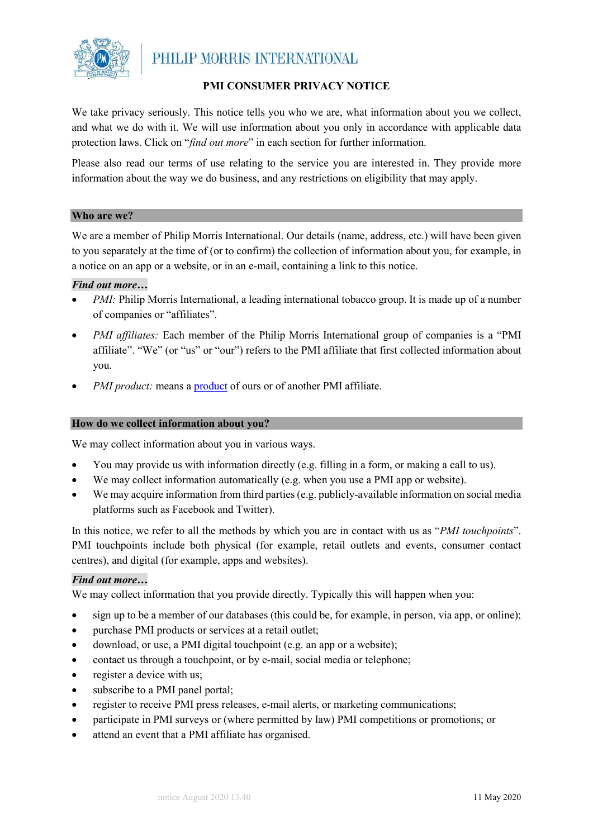

# **PMI CONSUMER PRIVACY NOTICE**

We take privacy seriously. This notice tells you who we are, what information about you we collect, and what we do with it. We will use information about you only in accordance with applicable data protection laws. Click on "*find out more*" in each section for further information.

Please also read our terms of use relating to the service you are interested in. They provide more information about the way we do business, and any restrictions on eligibility that may apply.

#### **Who are we?**

We are a member of Philip Morris International. Our details (name, address, etc.) will have been given to you separately at the time of (or to confirm) the collection of information about you, for example, in a notice on an app or a website, or in an e-mail, containing a link to this notice.

#### *Find out more…*

- *PMI:* Philip Morris International, a leading international tobacco group. It is made up of a number of companies or "affiliates".
- *PMI affiliates:* Each member of the Philip Morris International group of companies is a "PMI affiliate". "We" (or "us" or "our") refers to the PMI affiliate that first collected information about you.
- *PMI product:* means a **product** of ours or of another PMI affiliate.

#### **How do we collect information about you?**

We may collect information about you in various ways.

- You may provide us with information directly (e.g. filling in a form, or making a call to us).
- We may collect information automatically (e.g. when you use a PMI app or website).
- We may acquire information from third parties (e.g. publicly-available information on social media platforms such as Facebook and Twitter).

In this notice, we refer to all the methods by which you are in contact with us as "*PMI touchpoints*". PMI touchpoints include both physical (for example, retail outlets and events, consumer contact centres), and digital (for example, apps and websites).

#### *Find out more…*

We may collect information that you provide directly. Typically this will happen when you:

- sign up to be a member of our databases (this could be, for example, in person, via app, or online);
- purchase PMI products or services at a retail outlet;
- download, or use, a PMI digital touchpoint (e.g. an app or a website);
- contact us through a touchpoint, or by e-mail, social media or telephone;
- register a device with us;
- subscribe to a PMI panel portal;
- register to receive PMI press releases, e-mail alerts, or marketing communications;
- participate in PMI surveys or (where permitted by law) PMI competitions or promotions; or
- attend an event that a PMI affiliate has organised.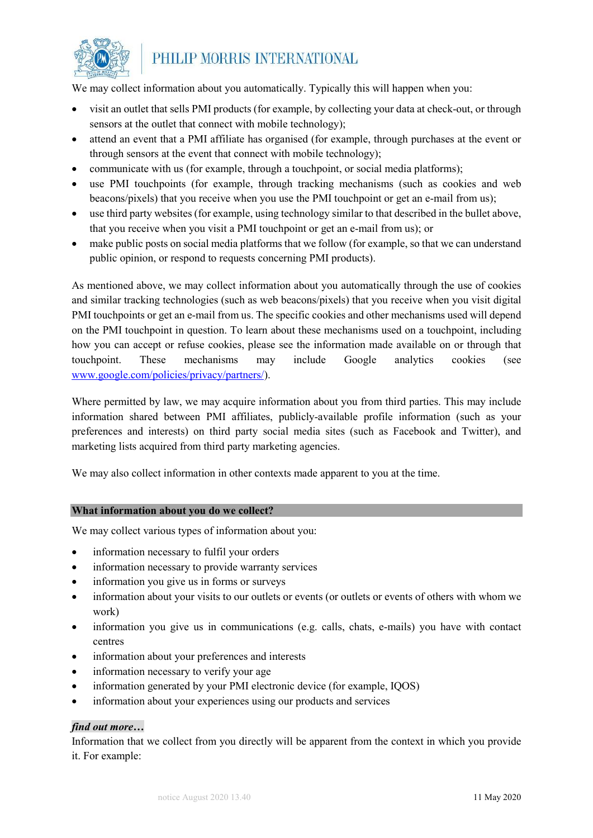

We may collect information about you automatically. Typically this will happen when you:

- visit an outlet that sells PMI products (for example, by collecting your data at check-out, or through sensors at the outlet that connect with mobile technology);
- attend an event that a PMI affiliate has organised (for example, through purchases at the event or through sensors at the event that connect with mobile technology);
- communicate with us (for example, through a touchpoint, or social media platforms);
- use PMI touchpoints (for example, through tracking mechanisms (such as cookies and web beacons/pixels) that you receive when you use the PMI touchpoint or get an e-mail from us);
- use third party websites (for example, using technology similar to that described in the bullet above, that you receive when you visit a PMI touchpoint or get an e-mail from us); or
- make public posts on social media platforms that we follow (for example, so that we can understand public opinion, or respond to requests concerning PMI products).

As mentioned above, we may collect information about you automatically through the use of cookies and similar tracking technologies (such as web beacons/pixels) that you receive when you visit digital PMI touchpoints or get an e-mail from us. The specific cookies and other mechanisms used will depend on the PMI touchpoint in question. To learn about these mechanisms used on a touchpoint, including how you can accept or refuse cookies, please see the information made available on or through that touchpoint. These mechanisms may include Google analytics cookies (see [www.google.com/policies/privacy/partners/\)](http://www.google.com/policies/privacy/partners/).

Where permitted by law, we may acquire information about you from third parties. This may include information shared between PMI affiliates, publicly-available profile information (such as your preferences and interests) on third party social media sites (such as Facebook and Twitter), and marketing lists acquired from third party marketing agencies.

We may also collect information in other contexts made apparent to you at the time.

#### **What information about you do we collect?**

We may collect various types of information about you:

- information necessary to fulfil your orders
- information necessary to provide warranty services
- information you give us in forms or surveys
- information about your visits to our outlets or events (or outlets or events of others with whom we work)
- information you give us in communications (e.g. calls, chats, e-mails) you have with contact centres
- information about your preferences and interests
- information necessary to verify your age
- information generated by your PMI electronic device (for example, IQOS)
- information about your experiences using our products and services

# *find out more…*

Information that we collect from you directly will be apparent from the context in which you provide it. For example: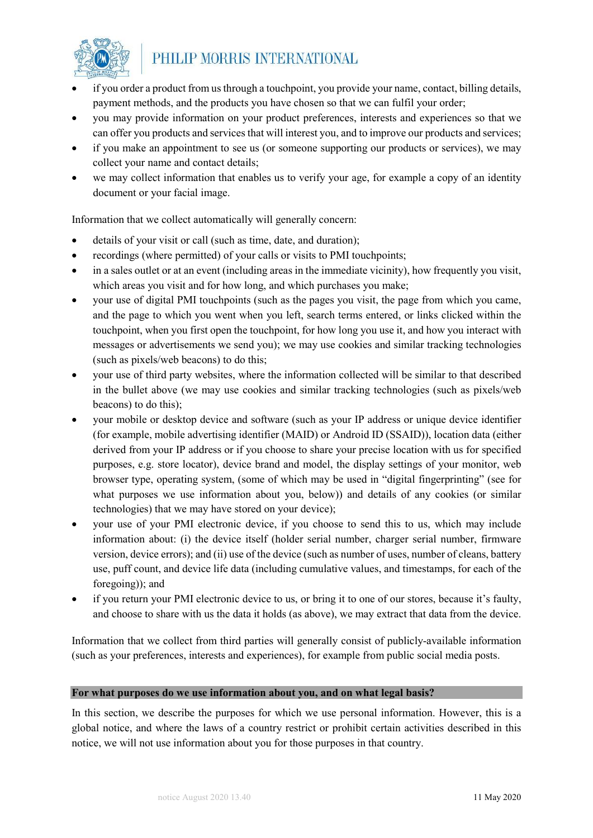

- if you order a product from us through a touchpoint, you provide your name, contact, billing details, payment methods, and the products you have chosen so that we can fulfil your order;
- you may provide information on your product preferences, interests and experiences so that we can offer you products and services that will interest you, and to improve our products and services;
- if you make an appointment to see us (or someone supporting our products or services), we may collect your name and contact details;
- we may collect information that enables us to verify your age, for example a copy of an identity document or your facial image.

Information that we collect automatically will generally concern:

- details of your visit or call (such as time, date, and duration);
- recordings (where permitted) of your calls or visits to PMI touch points;
- in a sales outlet or at an event (including areas in the immediate vicinity), how frequently you visit, which areas you visit and for how long, and which purchases you make;
- your use of digital PMI touchpoints (such as the pages you visit, the page from which you came, and the page to which you went when you left, search terms entered, or links clicked within the touchpoint, when you first open the touchpoint, for how long you use it, and how you interact with messages or advertisements we send you); we may use cookies and similar tracking technologies (such as pixels/web beacons) to do this;
- your use of third party websites, where the information collected will be similar to that described in the bullet above (we may use cookies and similar tracking technologies (such as pixels/web beacons) to do this);
- your mobile or desktop device and software (such as your IP address or unique device identifier (for example, mobile advertising identifier (MAID) or Android ID (SSAID)), location data (either derived from your IP address or if you choose to share your precise location with us for specified purposes, e.g. store locator), device brand and model, the display settings of your monitor, web browser type, operating system, (some of which may be used in "digital fingerprinting" (see for what purposes we use information about you, below)) and details of any cookies (or similar technologies) that we may have stored on your device);
- your use of your PMI electronic device, if you choose to send this to us, which may include information about: (i) the device itself (holder serial number, charger serial number, firmware version, device errors); and (ii) use of the device (such as number of uses, number of cleans, battery use, puff count, and device life data (including cumulative values, and timestamps, for each of the foregoing)); and
- if you return your PMI electronic device to us, or bring it to one of our stores, because it's faulty, and choose to share with us the data it holds (as above), we may extract that data from the device.

Information that we collect from third parties will generally consist of publicly-available information (such as your preferences, interests and experiences), for example from public social media posts.

# **For what purposes do we use information about you, and on what legal basis?**

In this section, we describe the purposes for which we use personal information. However, this is a global notice, and where the laws of a country restrict or prohibit certain activities described in this notice, we will not use information about you for those purposes in that country.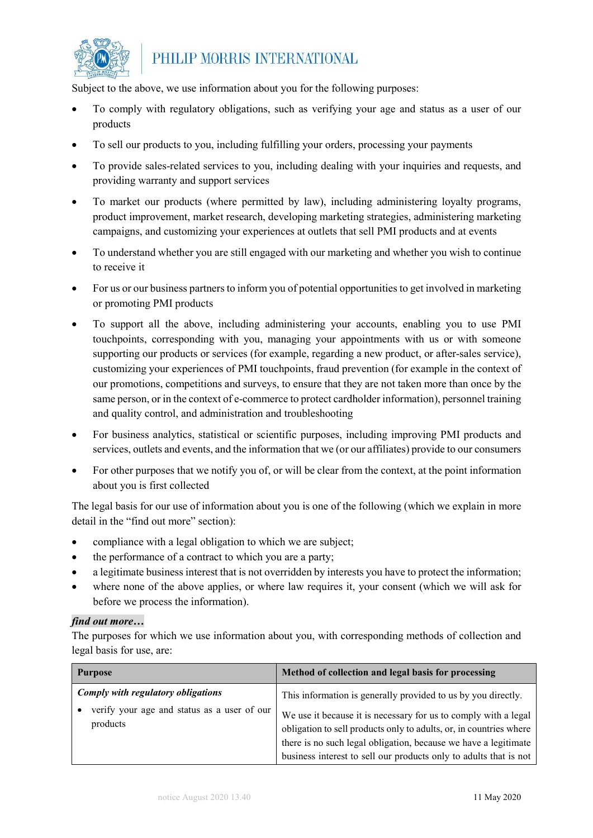

Subject to the above, we use information about you for the following purposes:

- To comply with regulatory obligations, such as verifying your age and status as a user of our products
- To sell our products to you, including fulfilling your orders, processing your payments
- To provide sales-related services to you, including dealing with your inquiries and requests, and providing warranty and support services
- To market our products (where permitted by law), including administering loyalty programs, product improvement, market research, developing marketing strategies, administering marketing campaigns, and customizing your experiences at outlets that sell PMI products and at events
- To understand whether you are still engaged with our marketing and whether you wish to continue to receive it
- For us or our business partners to inform you of potential opportunities to get involved in marketing or promoting PMI products
- To support all the above, including administering your accounts, enabling you to use PMI touchpoints, corresponding with you, managing your appointments with us or with someone supporting our products or services (for example, regarding a new product, or after-sales service), customizing your experiences of PMI touchpoints, fraud prevention (for example in the context of our promotions, competitions and surveys, to ensure that they are not taken more than once by the same person, or in the context of e-commerce to protect cardholder information), personnel training and quality control, and administration and troubleshooting
- For business analytics, statistical or scientific purposes, including improving PMI products and services, outlets and events, and the information that we (or our affiliates) provide to our consumers
- For other purposes that we notify you of, or will be clear from the context, at the point information about you is first collected

The legal basis for our use of information about you is one of the following (which we explain in more detail in the "find out more" section):

- compliance with a legal obligation to which we are subject;
- the performance of a contract to which you are a party;
- a legitimate business interest that is not overridden by interests you have to protect the information;
- where none of the above applies, or where law requires it, your consent (which we will ask for before we process the information).

#### *find out more…*

The purposes for which we use information about you, with corresponding methods of collection and legal basis for use, are:

| <b>Purpose</b>                                                                                | Method of collection and legal basis for processing                                                                                                                                                                                                                                                                                            |
|-----------------------------------------------------------------------------------------------|------------------------------------------------------------------------------------------------------------------------------------------------------------------------------------------------------------------------------------------------------------------------------------------------------------------------------------------------|
| Comply with regulatory obligations<br>verify your age and status as a user of our<br>products | This information is generally provided to us by you directly.<br>We use it because it is necessary for us to comply with a legal<br>obligation to sell products only to adults, or, in countries where<br>there is no such legal obligation, because we have a legitimate<br>business interest to sell our products only to adults that is not |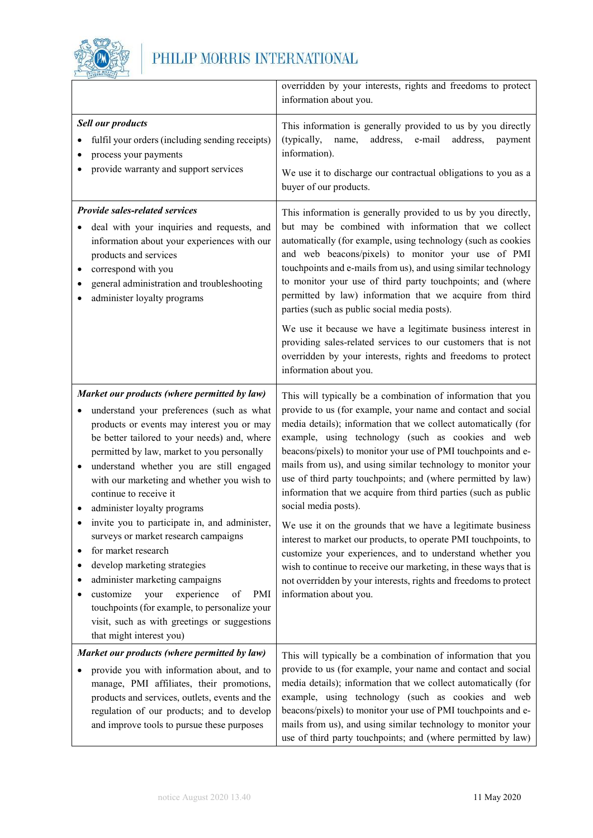

|                                                                                                                                                                                                                                                                                                                                                                                                                                                                                                                                                                                                                                                                                                                                                                | overridden by your interests, rights and freedoms to protect<br>information about you.                                                                                                                                                                                                                                                                                                                                                                                                                                                                                                                                                                                                                                                                                                                                                                                                                           |
|----------------------------------------------------------------------------------------------------------------------------------------------------------------------------------------------------------------------------------------------------------------------------------------------------------------------------------------------------------------------------------------------------------------------------------------------------------------------------------------------------------------------------------------------------------------------------------------------------------------------------------------------------------------------------------------------------------------------------------------------------------------|------------------------------------------------------------------------------------------------------------------------------------------------------------------------------------------------------------------------------------------------------------------------------------------------------------------------------------------------------------------------------------------------------------------------------------------------------------------------------------------------------------------------------------------------------------------------------------------------------------------------------------------------------------------------------------------------------------------------------------------------------------------------------------------------------------------------------------------------------------------------------------------------------------------|
| <b>Sell our products</b><br>fulfil your orders (including sending receipts)<br>process your payments<br>provide warranty and support services                                                                                                                                                                                                                                                                                                                                                                                                                                                                                                                                                                                                                  | This information is generally provided to us by you directly<br>(typically,<br>address,<br>e-mail<br>address,<br>name,<br>payment<br>information).<br>We use it to discharge our contractual obligations to you as a<br>buyer of our products.                                                                                                                                                                                                                                                                                                                                                                                                                                                                                                                                                                                                                                                                   |
| <b>Provide sales-related services</b><br>deal with your inquiries and requests, and<br>information about your experiences with our<br>products and services<br>correspond with you<br>general administration and troubleshooting<br>administer loyalty programs                                                                                                                                                                                                                                                                                                                                                                                                                                                                                                | This information is generally provided to us by you directly,<br>but may be combined with information that we collect<br>automatically (for example, using technology (such as cookies<br>and web beacons/pixels) to monitor your use of PMI<br>touchpoints and e-mails from us), and using similar technology<br>to monitor your use of third party touchpoints; and (where<br>permitted by law) information that we acquire from third<br>parties (such as public social media posts).<br>We use it because we have a legitimate business interest in<br>providing sales-related services to our customers that is not<br>overridden by your interests, rights and freedoms to protect<br>information about you.                                                                                                                                                                                               |
| Market our products (where permitted by law)<br>understand your preferences (such as what<br>products or events may interest you or may<br>be better tailored to your needs) and, where<br>permitted by law, market to you personally<br>understand whether you are still engaged<br>with our marketing and whether you wish to<br>continue to receive it<br>administer loyalty programs<br>invite you to participate in, and administer,<br>surveys or market research campaigns<br>for market research<br>develop marketing strategies<br>administer marketing campaigns<br>customize<br>experience<br><b>PMI</b><br>your<br>of<br>touchpoints (for example, to personalize your<br>visit, such as with greetings or suggestions<br>that might interest you) | This will typically be a combination of information that you<br>provide to us (for example, your name and contact and social<br>media details); information that we collect automatically (for<br>example, using technology (such as cookies and web<br>beacons/pixels) to monitor your use of PMI touchpoints and e-<br>mails from us), and using similar technology to monitor your<br>use of third party touchpoints; and (where permitted by law)<br>information that we acquire from third parties (such as public<br>social media posts).<br>We use it on the grounds that we have a legitimate business<br>interest to market our products, to operate PMI touchpoints, to<br>customize your experiences, and to understand whether you<br>wish to continue to receive our marketing, in these ways that is<br>not overridden by your interests, rights and freedoms to protect<br>information about you. |
| Market our products (where permitted by law)<br>provide you with information about, and to<br>manage, PMI affiliates, their promotions,<br>products and services, outlets, events and the<br>regulation of our products; and to develop<br>and improve tools to pursue these purposes                                                                                                                                                                                                                                                                                                                                                                                                                                                                          | This will typically be a combination of information that you<br>provide to us (for example, your name and contact and social<br>media details); information that we collect automatically (for<br>example, using technology (such as cookies and web<br>beacons/pixels) to monitor your use of PMI touchpoints and e-<br>mails from us), and using similar technology to monitor your<br>use of third party touchpoints; and (where permitted by law)                                                                                                                                                                                                                                                                                                                                                                                                                                                            |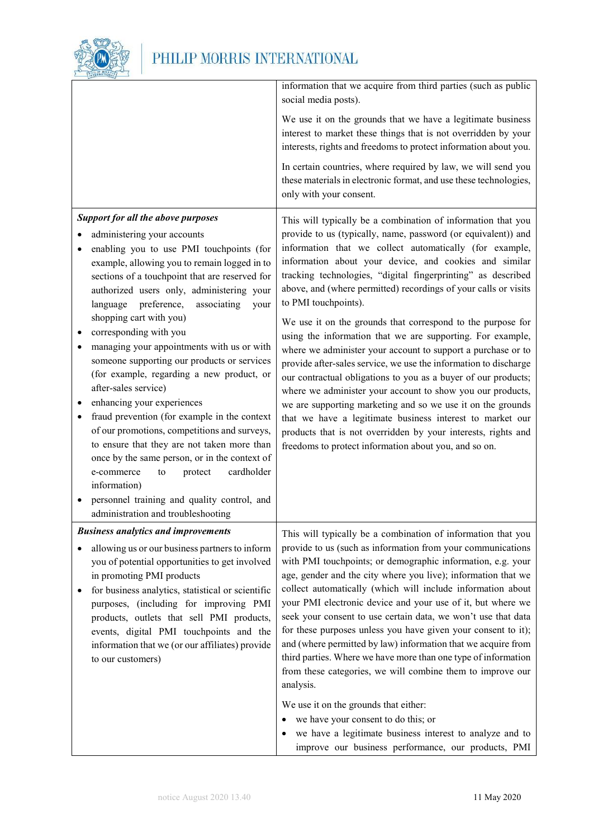

|                                                                                                                                                                                                                                                                                                                                                                                                                                                                                                                                                                                         | information that we acquire from third parties (such as public<br>social media posts).                                                                                                                                                                                                                                                                                                                                                                                                                                                                                                                                                                                                                                                    |
|-----------------------------------------------------------------------------------------------------------------------------------------------------------------------------------------------------------------------------------------------------------------------------------------------------------------------------------------------------------------------------------------------------------------------------------------------------------------------------------------------------------------------------------------------------------------------------------------|-------------------------------------------------------------------------------------------------------------------------------------------------------------------------------------------------------------------------------------------------------------------------------------------------------------------------------------------------------------------------------------------------------------------------------------------------------------------------------------------------------------------------------------------------------------------------------------------------------------------------------------------------------------------------------------------------------------------------------------------|
|                                                                                                                                                                                                                                                                                                                                                                                                                                                                                                                                                                                         | We use it on the grounds that we have a legitimate business<br>interest to market these things that is not overridden by your<br>interests, rights and freedoms to protect information about you.                                                                                                                                                                                                                                                                                                                                                                                                                                                                                                                                         |
|                                                                                                                                                                                                                                                                                                                                                                                                                                                                                                                                                                                         | In certain countries, where required by law, we will send you<br>these materials in electronic format, and use these technologies,<br>only with your consent.                                                                                                                                                                                                                                                                                                                                                                                                                                                                                                                                                                             |
| Support for all the above purposes                                                                                                                                                                                                                                                                                                                                                                                                                                                                                                                                                      | This will typically be a combination of information that you                                                                                                                                                                                                                                                                                                                                                                                                                                                                                                                                                                                                                                                                              |
| administering your accounts<br>enabling you to use PMI touchpoints (for<br>example, allowing you to remain logged in to<br>sections of a touchpoint that are reserved for<br>authorized users only, administering your                                                                                                                                                                                                                                                                                                                                                                  | provide to us (typically, name, password (or equivalent)) and<br>information that we collect automatically (for example,<br>information about your device, and cookies and similar<br>tracking technologies, "digital fingerprinting" as described<br>above, and (where permitted) recordings of your calls or visits                                                                                                                                                                                                                                                                                                                                                                                                                     |
| preference,<br>language<br>associating<br>your                                                                                                                                                                                                                                                                                                                                                                                                                                                                                                                                          | to PMI touchpoints).                                                                                                                                                                                                                                                                                                                                                                                                                                                                                                                                                                                                                                                                                                                      |
| shopping cart with you)<br>corresponding with you<br>managing your appointments with us or with<br>$\bullet$<br>someone supporting our products or services<br>(for example, regarding a new product, or<br>after-sales service)<br>enhancing your experiences<br>fraud prevention (for example in the context<br>$\bullet$<br>of our promotions, competitions and surveys,<br>to ensure that they are not taken more than<br>once by the same person, or in the context of<br>cardholder<br>to<br>protect<br>e-commerce<br>information)<br>personnel training and quality control, and | We use it on the grounds that correspond to the purpose for<br>using the information that we are supporting. For example,<br>where we administer your account to support a purchase or to<br>provide after-sales service, we use the information to discharge<br>our contractual obligations to you as a buyer of our products;<br>where we administer your account to show you our products,<br>we are supporting marketing and so we use it on the grounds<br>that we have a legitimate business interest to market our<br>products that is not overridden by your interests, rights and<br>freedoms to protect information about you, and so on.                                                                                       |
| administration and troubleshooting                                                                                                                                                                                                                                                                                                                                                                                                                                                                                                                                                      |                                                                                                                                                                                                                                                                                                                                                                                                                                                                                                                                                                                                                                                                                                                                           |
| <b>Business analytics and improvements</b><br>allowing us or our business partners to inform<br>you of potential opportunities to get involved<br>in promoting PMI products<br>for business analytics, statistical or scientific<br>$\bullet$<br>purposes, (including for improving PMI<br>products, outlets that sell PMI products,<br>events, digital PMI touchpoints and the<br>information that we (or our affiliates) provide<br>to our customers)                                                                                                                                 | This will typically be a combination of information that you<br>provide to us (such as information from your communications<br>with PMI touchpoints; or demographic information, e.g. your<br>age, gender and the city where you live); information that we<br>collect automatically (which will include information about<br>your PMI electronic device and your use of it, but where we<br>seek your consent to use certain data, we won't use that data<br>for these purposes unless you have given your consent to it);<br>and (where permitted by law) information that we acquire from<br>third parties. Where we have more than one type of information<br>from these categories, we will combine them to improve our<br>analysis. |
|                                                                                                                                                                                                                                                                                                                                                                                                                                                                                                                                                                                         | We use it on the grounds that either:<br>we have your consent to do this; or<br>we have a legitimate business interest to analyze and to<br>improve our business performance, our products, PMI                                                                                                                                                                                                                                                                                                                                                                                                                                                                                                                                           |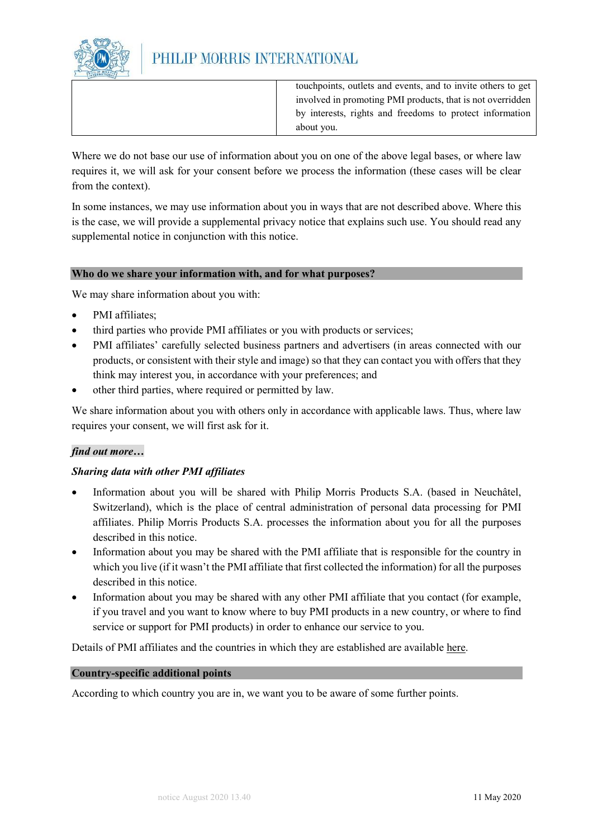

touchpoints, outlets and events, and to invite others to get involved in promoting PMI products, that is not overridden by interests, rights and freedoms to protect information about you.

Where we do not base our use of information about you on one of the above legal bases, or where law requires it, we will ask for your consent before we process the information (these cases will be clear from the context).

In some instances, we may use information about you in ways that are not described above. Where this is the case, we will provide a supplemental privacy notice that explains such use. You should read any supplemental notice in conjunction with this notice.

#### **Who do we share your information with, and for what purposes?**

We may share information about you with:

- PMI affiliates:
- third parties who provide PMI affiliates or you with products or services;
- PMI affiliates' carefully selected business partners and advertisers (in areas connected with our products, or consistent with their style and image) so that they can contact you with offers that they think may interest you, in accordance with your preferences; and
- other third parties, where required or permitted by law.

We share information about you with others only in accordance with applicable laws. Thus, where law requires your consent, we will first ask for it.

# *find out more…*

# *Sharing data with other PMI affiliates*

- Information about you will be shared with Philip Morris Products S.A. (based in Neuchâtel, Switzerland), which is the place of central administration of personal data processing for PMI affiliates. Philip Morris Products S.A. processes the information about you for all the purposes described in this notice.
- Information about you may be shared with the PMI affiliate that is responsible for the country in which you live (if it wasn't the PMI affiliate that first collected the information) for all the purposes described in this notice.
- Information about you may be shared with any other PMI affiliate that you contact (for example, if you travel and you want to know where to buy PMI products in a new country, or where to find service or support for PMI products) in order to enhance our service to you.

Details of PMI affiliates and the countries in which they are established are available here.

#### **Country-specific additional points**

According to which country you are in, we want you to be aware of some further points.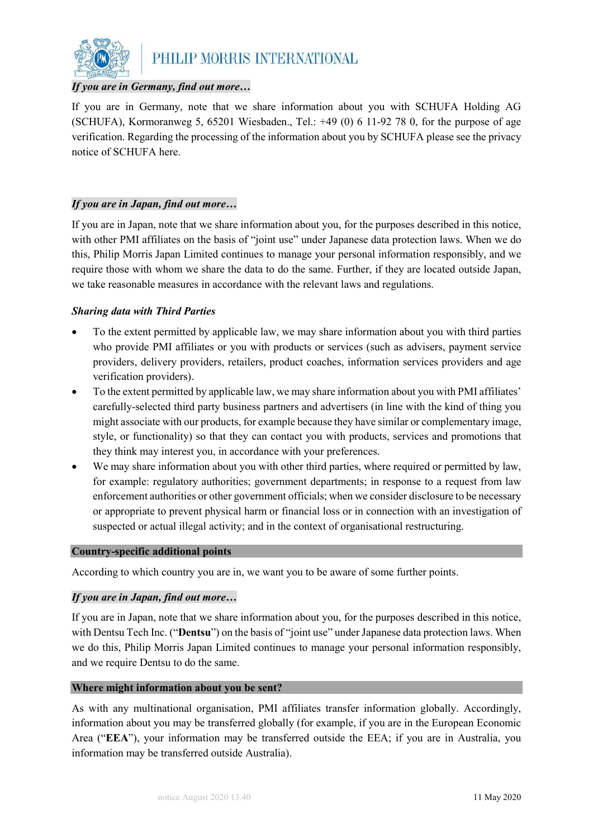

# *If you are in Germany, find out more…*

If you are in Germany, note that we share information about you with SCHUFA Holding AG (SCHUFA), Kormoranweg 5, 65201 Wiesbaden., Tel.:  $+49$  (0) 6 11-92 78 0, for the purpose of age verification. Regarding the processing of the information about you by SCHUFA please see the privacy notice of SCHUFA here.

# *If you are in Japan, find out more…*

If you are in Japan, note that we share information about you, for the purposes described in this notice, with other PMI affiliates on the basis of "joint use" under Japanese data protection laws. When we do this, Philip Morris Japan Limited continues to manage your personal information responsibly, and we require those with whom we share the data to do the same. Further, if they are located outside Japan, we take reasonable measures in accordance with the relevant laws and regulations.

#### *Sharing data with Third Parties*

- To the extent permitted by applicable law, we may share information about you with third parties who provide PMI affiliates or you with products or services (such as advisers, payment service providers, delivery providers, retailers, product coaches, information services providers and age verification providers).
- To the extent permitted by applicable law, we may share information about you with PMI affiliates' carefully-selected third party business partners and advertisers (in line with the kind of thing you might associate with our products, for example because they have similar or complementary image, style, or functionality) so that they can contact you with products, services and promotions that they think may interest you, in accordance with your preferences.
- We may share information about you with other third parties, where required or permitted by law, for example: regulatory authorities; government departments; in response to a request from law enforcement authorities or other government officials; when we consider disclosure to be necessary or appropriate to prevent physical harm or financial loss or in connection with an investigation of suspected or actual illegal activity; and in the context of organisational restructuring.

#### **Country-specific additional points**

According to which country you are in, we want you to be aware of some further points.

# *If you are in Japan, find out more…*

If you are in Japan, note that we share information about you, for the purposes described in this notice, with Dentsu Tech Inc. ("**Dentsu**") on the basis of "joint use" under Japanese data protection laws. When we do this, Philip Morris Japan Limited continues to manage your personal information responsibly, and we require Dentsu to do the same.

#### **Where might information about you be sent?**

As with any multinational organisation, PMI affiliates transfer information globally. Accordingly, information about you may be transferred globally (for example, if you are in the European Economic Area ("**EEA**"), your information may be transferred outside the EEA; if you are in Australia, you information may be transferred outside Australia).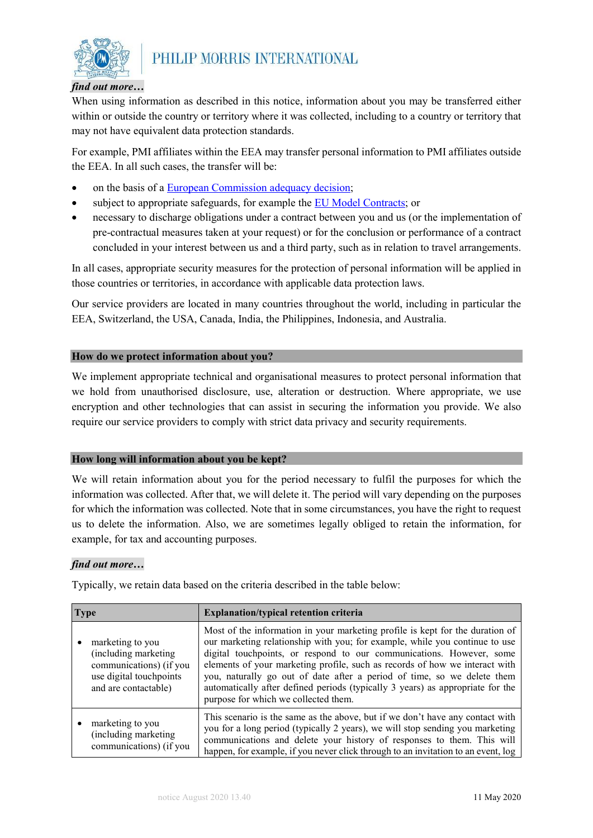

# *find out more…*

When using information as described in this notice, information about you may be transferred either within or outside the country or territory where it was collected, including to a country or territory that may not have equivalent data protection standards.

For example, PMI affiliates within the EEA may transfer personal information to PMI affiliates outside the EEA. In all such cases, the transfer will be:

- on the basis of a European Commission adequacy decision:
- subject to appropriate safeguards, for example th[e EU Model Contracts;](https://ec.europa.eu/info/law/law-topic/data-protection/data-transfers-outside-eu/model-contracts-transfer-personal-data-third-countries_en) or
- necessary to discharge obligations under a contract between you and us (or the implementation of pre-contractual measures taken at your request) or for the conclusion or performance of a contract concluded in your interest between us and a third party, such as in relation to travel arrangements.

In all cases, appropriate security measures for the protection of personal information will be applied in those countries or territories, in accordance with applicable data protection laws.

Our service providers are located in many countries throughout the world, including in particular the EEA, Switzerland, the USA, Canada, India, the Philippines, Indonesia, and Australia.

#### **How do we protect information about you?**

We implement appropriate technical and organisational measures to protect personal information that we hold from unauthorised disclosure, use, alteration or destruction. Where appropriate, we use encryption and other technologies that can assist in securing the information you provide. We also require our service providers to comply with strict data privacy and security requirements.

#### **How long will information about you be kept?**

We will retain information about you for the period necessary to fulfil the purposes for which the information was collected. After that, we will delete it. The period will vary depending on the purposes for which the information was collected. Note that in some circumstances, you have the right to request us to delete the information. Also, we are sometimes legally obliged to retain the information, for example, for tax and accounting purposes.

#### *find out more…*

Typically, we retain data based on the criteria described in the table below:

| <b>Type</b> |                                                                                                                        | <b>Explanation/typical retention criteria</b>                                                                                                                                                                                                                                                                                                                                                                                                                                                                            |
|-------------|------------------------------------------------------------------------------------------------------------------------|--------------------------------------------------------------------------------------------------------------------------------------------------------------------------------------------------------------------------------------------------------------------------------------------------------------------------------------------------------------------------------------------------------------------------------------------------------------------------------------------------------------------------|
|             | marketing to you<br>(including marketing<br>communications) (if you<br>use digital touchpoints<br>and are contactable) | Most of the information in your marketing profile is kept for the duration of<br>our marketing relationship with you; for example, while you continue to use<br>digital touchpoints, or respond to our communications. However, some<br>elements of your marketing profile, such as records of how we interact with<br>you, naturally go out of date after a period of time, so we delete them<br>automatically after defined periods (typically 3 years) as appropriate for the<br>purpose for which we collected them. |
|             | marketing to you<br>(including marketing<br>communications) (if you                                                    | This scenario is the same as the above, but if we don't have any contact with<br>you for a long period (typically 2 years), we will stop sending you marketing<br>communications and delete your history of responses to them. This will<br>happen, for example, if you never click through to an invitation to an event, log                                                                                                                                                                                            |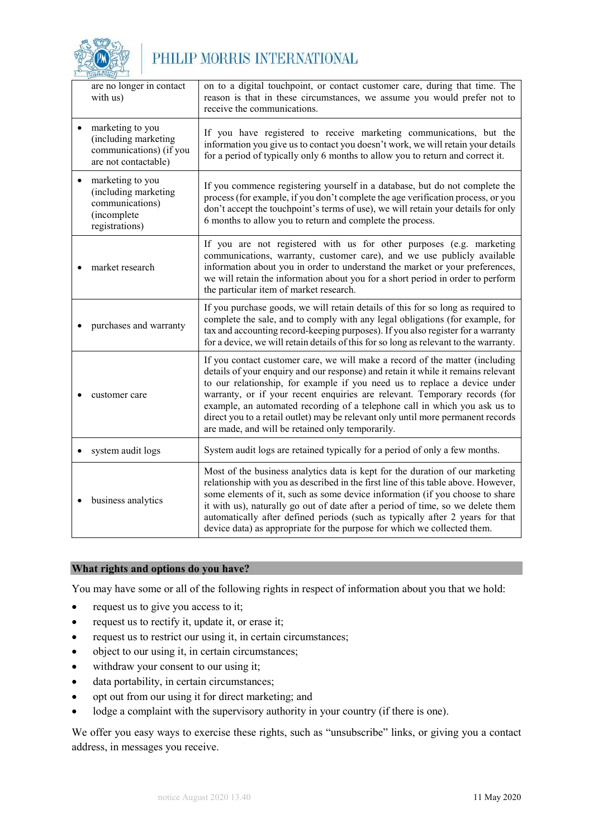

| are no longer in contact<br>with us)                                                         | on to a digital touchpoint, or contact customer care, during that time. The<br>reason is that in these circumstances, we assume you would prefer not to<br>receive the communications.                                                                                                                                                                                                                                                                                                                                                             |
|----------------------------------------------------------------------------------------------|----------------------------------------------------------------------------------------------------------------------------------------------------------------------------------------------------------------------------------------------------------------------------------------------------------------------------------------------------------------------------------------------------------------------------------------------------------------------------------------------------------------------------------------------------|
| marketing to you<br>(including marketing<br>communications) (if you<br>are not contactable)  | If you have registered to receive marketing communications, but the<br>information you give us to contact you doesn't work, we will retain your details<br>for a period of typically only 6 months to allow you to return and correct it.                                                                                                                                                                                                                                                                                                          |
| marketing to you<br>(including marketing<br>communications)<br>(incomplete<br>registrations) | If you commence registering yourself in a database, but do not complete the<br>process (for example, if you don't complete the age verification process, or you<br>don't accept the touchpoint's terms of use), we will retain your details for only<br>6 months to allow you to return and complete the process.                                                                                                                                                                                                                                  |
| market research                                                                              | If you are not registered with us for other purposes (e.g. marketing<br>communications, warranty, customer care), and we use publicly available<br>information about you in order to understand the market or your preferences,<br>we will retain the information about you for a short period in order to perform<br>the particular item of market research.                                                                                                                                                                                      |
| purchases and warranty                                                                       | If you purchase goods, we will retain details of this for so long as required to<br>complete the sale, and to comply with any legal obligations (for example, for<br>tax and accounting record-keeping purposes). If you also register for a warranty<br>for a device, we will retain details of this for so long as relevant to the warranty.                                                                                                                                                                                                     |
| customer care                                                                                | If you contact customer care, we will make a record of the matter (including<br>details of your enquiry and our response) and retain it while it remains relevant<br>to our relationship, for example if you need us to replace a device under<br>warranty, or if your recent enquiries are relevant. Temporary records (for<br>example, an automated recording of a telephone call in which you ask us to<br>direct you to a retail outlet) may be relevant only until more permanent records<br>are made, and will be retained only temporarily. |
| system audit logs                                                                            | System audit logs are retained typically for a period of only a few months.                                                                                                                                                                                                                                                                                                                                                                                                                                                                        |
| business analytics                                                                           | Most of the business analytics data is kept for the duration of our marketing<br>relationship with you as described in the first line of this table above. However,<br>some elements of it, such as some device information (if you choose to share<br>it with us), naturally go out of date after a period of time, so we delete them<br>automatically after defined periods (such as typically after 2 years for that<br>device data) as appropriate for the purpose for which we collected them.                                                |

#### **What rights and options do you have?**

You may have some or all of the following rights in respect of information about you that we hold:

- request us to give you access to it;
- request us to rectify it, update it, or erase it;
- request us to restrict our using it, in certain circumstances;
- object to our using it, in certain circumstances;
- withdraw your consent to our using it;
- data portability, in certain circumstances;
- opt out from our using it for direct marketing; and
- lodge a complaint with the supervisory authority in your country (if there is one).

We offer you easy ways to exercise these rights, such as "unsubscribe" links, or giving you a contact address, in messages you receive.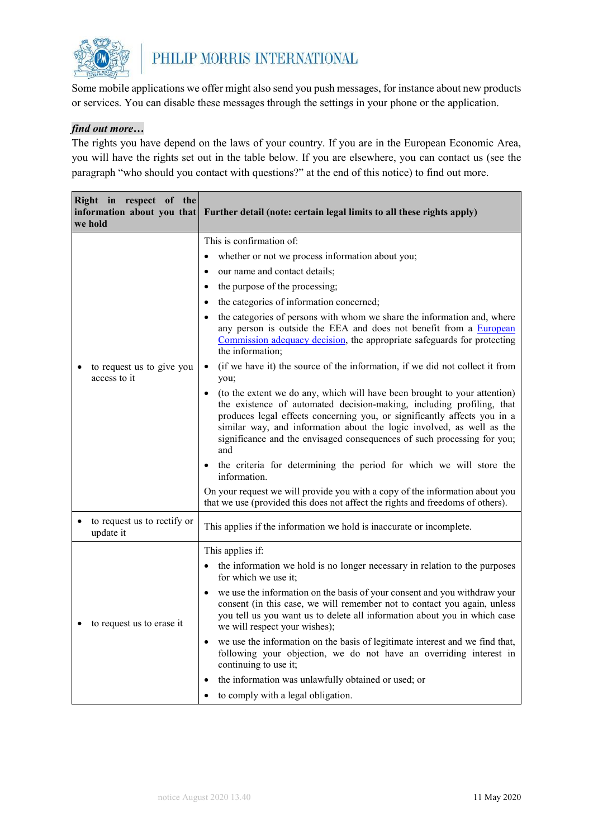

Some mobile applications we offer might also send you push messages, for instance about new products or services. You can disable these messages through the settings in your phone or the application.

# *find out more…*

The rights you have depend on the laws of your country. If you are in the European Economic Area, you will have the rights set out in the table below. If you are elsewhere, you can contact us (see the paragraph "who should you contact with questions?" at the end of this notice) to find out more.

| Right in respect of the<br>information about you that<br>we hold | Further detail (note: certain legal limits to all these rights apply)                                                                                                                                                                                                                                                                                                                                  |  |
|------------------------------------------------------------------|--------------------------------------------------------------------------------------------------------------------------------------------------------------------------------------------------------------------------------------------------------------------------------------------------------------------------------------------------------------------------------------------------------|--|
|                                                                  | This is confirmation of:                                                                                                                                                                                                                                                                                                                                                                               |  |
|                                                                  | whether or not we process information about you;                                                                                                                                                                                                                                                                                                                                                       |  |
|                                                                  | our name and contact details;<br>$\bullet$                                                                                                                                                                                                                                                                                                                                                             |  |
|                                                                  | the purpose of the processing;<br>$\bullet$                                                                                                                                                                                                                                                                                                                                                            |  |
|                                                                  | the categories of information concerned;<br>$\bullet$                                                                                                                                                                                                                                                                                                                                                  |  |
|                                                                  | the categories of persons with whom we share the information and, where<br>any person is outside the EEA and does not benefit from a European<br>Commission adequacy decision, the appropriate safeguards for protecting<br>the information;                                                                                                                                                           |  |
| to request us to give you<br>access to it                        | (if we have it) the source of the information, if we did not collect it from<br>$\bullet$<br>you;                                                                                                                                                                                                                                                                                                      |  |
|                                                                  | (to the extent we do any, which will have been brought to your attention)<br>$\bullet$<br>the existence of automated decision-making, including profiling, that<br>produces legal effects concerning you, or significantly affects you in a<br>similar way, and information about the logic involved, as well as the<br>significance and the envisaged consequences of such processing for you;<br>and |  |
|                                                                  | the criteria for determining the period for which we will store the<br>$\bullet$<br>information.                                                                                                                                                                                                                                                                                                       |  |
|                                                                  | On your request we will provide you with a copy of the information about you<br>that we use (provided this does not affect the rights and freedoms of others).                                                                                                                                                                                                                                         |  |
| to request us to rectify or<br>update it                         | This applies if the information we hold is inaccurate or incomplete.                                                                                                                                                                                                                                                                                                                                   |  |
|                                                                  | This applies if:                                                                                                                                                                                                                                                                                                                                                                                       |  |
|                                                                  | the information we hold is no longer necessary in relation to the purposes<br>for which we use it;                                                                                                                                                                                                                                                                                                     |  |
| to request us to erase it                                        | we use the information on the basis of your consent and you withdraw your<br>consent (in this case, we will remember not to contact you again, unless<br>you tell us you want us to delete all information about you in which case<br>we will respect your wishes);                                                                                                                                    |  |
|                                                                  | we use the information on the basis of legitimate interest and we find that,<br>$\bullet$<br>following your objection, we do not have an overriding interest in<br>continuing to use it;                                                                                                                                                                                                               |  |
|                                                                  | the information was unlawfully obtained or used; or<br>$\bullet$                                                                                                                                                                                                                                                                                                                                       |  |
|                                                                  | to comply with a legal obligation.<br>$\bullet$                                                                                                                                                                                                                                                                                                                                                        |  |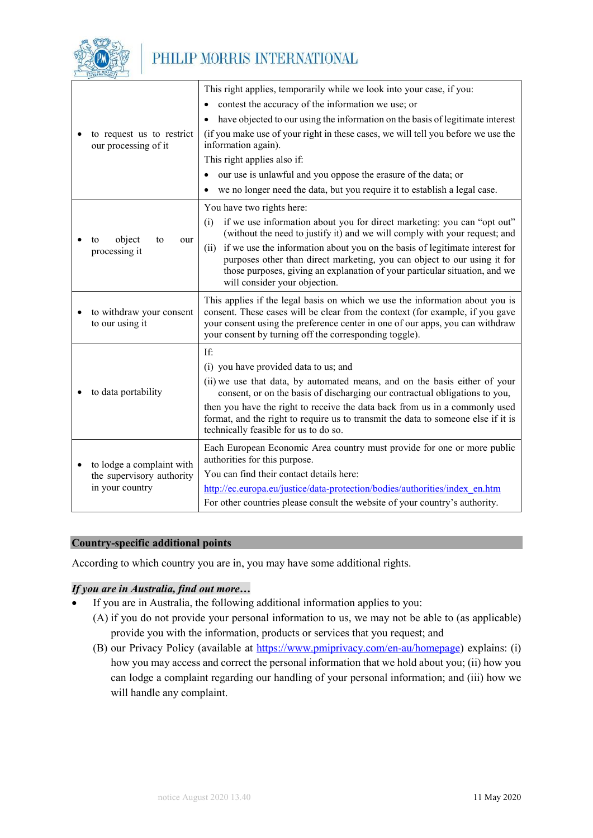

|  |                                                                           | This right applies, temporarily while we look into your case, if you:                                                                                                                                                                                                                                    |
|--|---------------------------------------------------------------------------|----------------------------------------------------------------------------------------------------------------------------------------------------------------------------------------------------------------------------------------------------------------------------------------------------------|
|  | to request us to restrict<br>our processing of it                         | contest the accuracy of the information we use; or                                                                                                                                                                                                                                                       |
|  |                                                                           | have objected to our using the information on the basis of legitimate interest                                                                                                                                                                                                                           |
|  |                                                                           | (if you make use of your right in these cases, we will tell you before we use the<br>information again).                                                                                                                                                                                                 |
|  |                                                                           | This right applies also if:                                                                                                                                                                                                                                                                              |
|  |                                                                           | our use is unlawful and you oppose the erasure of the data; or<br>٠                                                                                                                                                                                                                                      |
|  |                                                                           | we no longer need the data, but you require it to establish a legal case.                                                                                                                                                                                                                                |
|  | object<br>to<br>our<br>to<br>processing it                                | You have two rights here:                                                                                                                                                                                                                                                                                |
|  |                                                                           | if we use information about you for direct marketing: you can "opt out"<br>(i)<br>(without the need to justify it) and we will comply with your request; and                                                                                                                                             |
|  |                                                                           | if we use the information about you on the basis of legitimate interest for<br>(ii)<br>purposes other than direct marketing, you can object to our using it for<br>those purposes, giving an explanation of your particular situation, and we<br>will consider your objection.                           |
|  | to withdraw your consent<br>to our using it                               | This applies if the legal basis on which we use the information about you is<br>consent. These cases will be clear from the context (for example, if you gave<br>your consent using the preference center in one of our apps, you can withdraw<br>your consent by turning off the corresponding toggle). |
|  |                                                                           | If:                                                                                                                                                                                                                                                                                                      |
|  | to data portability                                                       | (i) you have provided data to us; and                                                                                                                                                                                                                                                                    |
|  |                                                                           | (ii) we use that data, by automated means, and on the basis either of your<br>consent, or on the basis of discharging our contractual obligations to you,                                                                                                                                                |
|  |                                                                           | then you have the right to receive the data back from us in a commonly used<br>format, and the right to require us to transmit the data to someone else if it is<br>technically feasible for us to do so.                                                                                                |
|  | to lodge a complaint with<br>the supervisory authority<br>in your country | Each European Economic Area country must provide for one or more public<br>authorities for this purpose.                                                                                                                                                                                                 |
|  |                                                                           | You can find their contact details here:                                                                                                                                                                                                                                                                 |
|  |                                                                           | http://ec.europa.eu/justice/data-protection/bodies/authorities/index en.htm                                                                                                                                                                                                                              |
|  |                                                                           | For other countries please consult the website of your country's authority.                                                                                                                                                                                                                              |

## **Country-specific additional points**

According to which country you are in, you may have some additional rights.

## *If you are in Australia, find out more…*

- If you are in Australia, the following additional information applies to you:
	- (A) if you do not provide your personal information to us, we may not be able to (as applicable) provide you with the information, products or services that you request; and
	- (B) our Privacy Policy (available at [https://www.pmiprivacy.com/en-au/homepage\)](https://www.pmiprivacy.com/en-au/homepage) explains: (i) how you may access and correct the personal information that we hold about you; (ii) how you can lodge a complaint regarding our handling of your personal information; and (iii) how we will handle any complaint.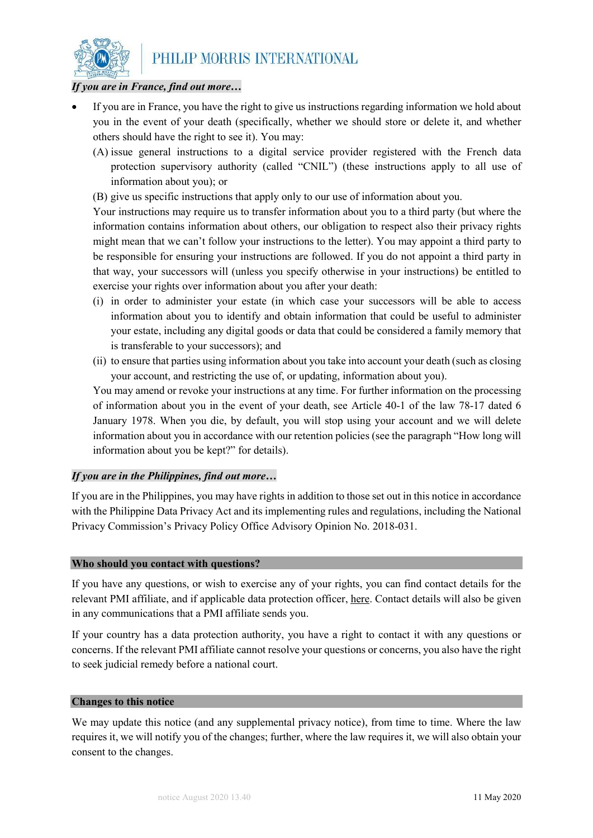

#### *If you are in France, find out more…*

- If you are in France, you have the right to give us instructions regarding information we hold about you in the event of your death (specifically, whether we should store or delete it, and whether others should have the right to see it). You may:
	- (A) issue general instructions to a digital service provider registered with the French data protection supervisory authority (called "CNIL") (these instructions apply to all use of information about you); or
	- (B) give us specific instructions that apply only to our use of information about you.

Your instructions may require us to transfer information about you to a third party (but where the information contains information about others, our obligation to respect also their privacy rights might mean that we can't follow your instructions to the letter). You may appoint a third party to be responsible for ensuring your instructions are followed. If you do not appoint a third party in that way, your successors will (unless you specify otherwise in your instructions) be entitled to exercise your rights over information about you after your death:

- (i) in order to administer your estate (in which case your successors will be able to access information about you to identify and obtain information that could be useful to administer your estate, including any digital goods or data that could be considered a family memory that is transferable to your successors); and
- (ii) to ensure that parties using information about you take into account your death (such as closing your account, and restricting the use of, or updating, information about you).

You may amend or revoke your instructions at any time. For further information on the processing of information about you in the event of your death, see Article 40-1 of the law 78-17 dated 6 January 1978. When you die, by default, you will stop using your account and we will delete information about you in accordance with our retention policies (see the paragraph "How long will information about you be kept?" for details).

# *If you are in the Philippines, find out more…*

If you are in the Philippines, you may have rights in addition to those set out in this notice in accordance with the Philippine Data Privacy Act and its implementing rules and regulations, including the National Privacy Commission's Privacy Policy Office Advisory Opinion No. 2018-031.

#### **Who should you contact with questions?**

If you have any questions, or wish to exercise any of your rights, you can find contact details for the relevant PMI affiliate, and if applicable data protection officer, here. Contact details will also be given in any communications that a PMI affiliate sends you.

If your country has a data protection authority, you have a right to contact it with any questions or concerns. If the relevant PMI affiliate cannot resolve your questions or concerns, you also have the right to seek judicial remedy before a national court.

#### **Changes to this notice**

We may update this notice (and any supplemental privacy notice), from time to time. Where the law requires it, we will notify you of the changes; further, where the law requires it, we will also obtain your consent to the changes.